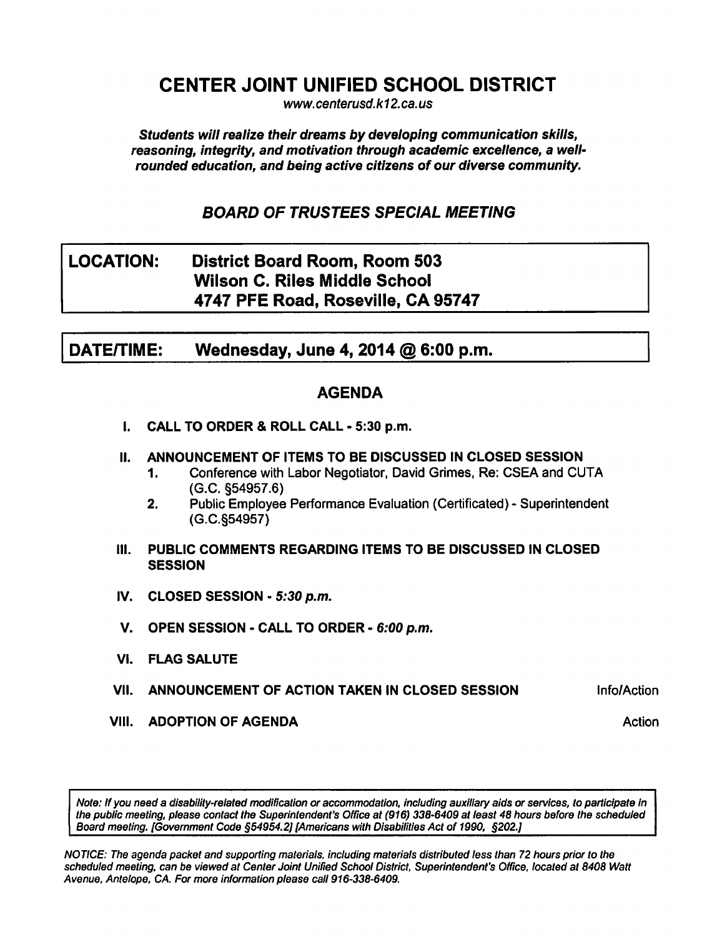# CENTER JOINT UNIFIED SCHOOL DISTRICT

www. centerusd. k12.ca.us

Students will realize their dreams by developing communication skills, reasoning, integrity, and motivation through academic excellence, a wellrounded education, and being active citizens of our diverse community.

BOARD OF TRUSTEES SPECIAL MEETING

# LOCATION: District Board Room, Room 503 Wilson C. Riles Middle School 4747 PFE Road, Roseville, CA 95747

DATE/TIME: Wednesday, June 4, 2014  $@$  6:00 p.m.

### AGENDA

- I. CALL TO ORDER & ROLL CALL 5:30 p.m.
- II. ANNOUNCEMENT OF ITEMS TO BE DISCUSSED IN CLOSED SESSION
	- 1. Conference with Labor Negotiator, David Grimes, Re: CSEA and CUTA (G.C. §54957.6)
	- 2. Public Employee Performance Evaluation (Certificated) Superintendent (G.C.§54957)
- III. PUBLIC COMMENTS REGARDING ITEMS TO BE DISCUSSED IN CLOSED **SESSION**
- IV. CLOSED SESSION  $-5:30$  p.m.
- V. OPEN SESSION CALL TO ORDER 6:00 p.m.
- VI. FLAG SALUTE
- VII. ANNOUNCEMENT OF ACTION TAKEN IN CLOSED SESSION **Info/Action**
- **VIII. ADOPTION OF AGENDA** Action **Action** Action

Note: If you need a disability-related modification or accommodation, including auxiliary aids or services, to participate in the public meeting, please contact the Superintendent's Office at (916) 338-6409 at least 48 hours before the scheduled Board meeting. [Government Code §54954.2] [Americans with Disabilities Act of 1990, §202.]

NOTICE: The agenda packet and supporting materials, including materials distributed less than 72 hours prior to the scheduled meeting, can be viewed at Center Joint Unified School District, Superintendent's Office, located at 8408 Watt Avenue, Antelope, CA. For more information please call 916-338-6409.